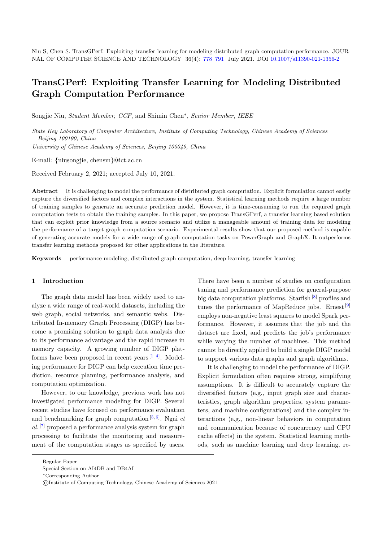# TransGPerf: Exploiting Transfer Learning for Modeling Distributed Graph Computation Performance

Songjie Niu, Student Member, CCF, and Shimin Chen<sup>\*</sup>, Senior Member, IEEE

State Key Laboratory of Computer Architecture, Institute of Computing Technology, Chinese Academy of Sciences Beijing 100190, China

University of Chinese Academy of Sciences, Beijing 100049, China

E-mail: {niusongjie, chensm}@ict.ac.cn

Received February 2, 2021; accepted July 10, 2021.

Abstract It is challenging to model the performance of distributed graph computation. Explicit formulation cannot easily capture the diversified factors and complex interactions in the system. Statistical learning methods require a large number of training samples to generate an accurate prediction model. However, it is time-consuming to run the required graph computation tests to obtain the training samples. In this paper, we propose TransGPerf, a transfer learning based solution that can exploit prior knowledge from a source scenario and utilize a manageable amount of training data for modeling the performance of a target graph computation scenario. Experimental results show that our proposed method is capable of generating accurate models for a wide range of graph computation tasks on PowerGraph and GraphX. It outperforms transfer learning methods proposed for other applications in the literature.

Keywords performance modeling, distributed graph computation, deep learning, transfer learning

#### 1 Introduction

The graph data model has been widely used to analyze a wide range of real-world datasets, including the web graph, social networks, and semantic webs. Distributed In-memory Graph Processing (DIGP) has become a promising solution to graph data analysis due to its performance advantage and the rapid increase in memory capacity. A growing number of DIGP platforms have been proposed in recent years  $[1-4]$  $[1-4]$ . Modeling performance for DIGP can help execution time prediction, resource planning, performance analysis, and computation optimization.

However, to our knowledge, previous work has not investigated performance modeling for DIGP. Several recent studies have focused on performance evaluation and benchmarking for graph computation  $[5, 6]$  $[5, 6]$  $[5, 6]$ . Ngai *et*  $al.$  [\[7\]](#page-12-1) proposed a performance analysis system for graph processing to facilitate the monitoring and measurement of the computation stages as specified by users.

There have been a number of studies on configuration tuning and performance prediction for general-purpose big data computation platforms. Starfish  $[8]$  profiles and tunes the performance of MapReduce jobs. Ernest<sup>[\[9\]](#page-12-3)</sup> employs non-negative least squares to model Spark performance. However, it assumes that the job and the dataset are fixed, and predicts the job's performance while varying the number of machines. This method cannot be directly applied to build a single DIGP model to support various data graphs and graph algorithms.

It is challenging to model the performance of DIGP. Explicit formulation often requires strong, simplifying assumptions. It is difficult to accurately capture the diversified factors (e.g., input graph size and characteristics, graph algorithm properties, system parameters, and machine configurations) and the complex interactions (e.g., non-linear behaviors in computation and communication because of concurrency and CPU cache effects) in the system. Statistical learning methods, such as machine learning and deep learning, re-

Regular Paper

Special Section on AI4DB and DB4AI

<sup>∗</sup>Corresponding Author

<sup>©</sup>Institute of Computing Technology, Chinese Academy of Sciences 2021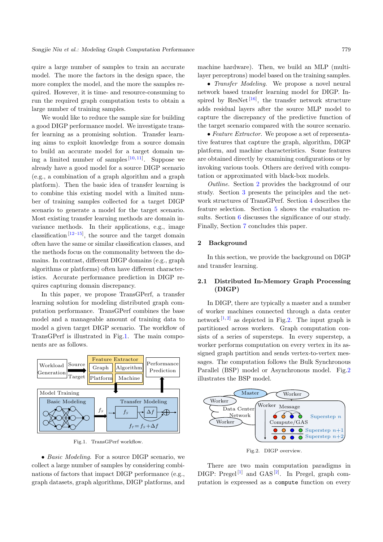quire a large number of samples to train an accurate model. The more the factors in the design space, the more complex the model, and the more the samples required. However, it is time- and resource-consuming to run the required graph computation tests to obtain a large number of training samples.

We would like to reduce the sample size for building a good DIGP performance model. We investigate transfer learning as a promising solution. Transfer learning aims to exploit knowledge from a source domain to build an accurate model for a target domain using a limited number of samples  $[10, 11]$  $[10, 11]$  $[10, 11]$ . Suppose we already have a good model for a source DIGP scenario (e.g., a combination of a graph algorithm and a graph platform). Then the basic idea of transfer learning is to combine this existing model with a limited number of training samples collected for a target DIGP scenario to generate a model for the target scenario. Most existing transfer learning methods are domain invariance methods. In their applications, e.g., image classification<sup>[\[12–](#page-12-6)[15\]](#page-12-7)</sup>, the source and the target domain often have the same or similar classification classes, and the methods focus on the commonality between the domains. In contrast, different DIGP domains (e.g., graph algorithms or platforms) often have different characteristics. Accurate performance prediction in DIGP requires capturing domain discrepancy.

In this paper, we propose TransGPerf, a transfer learning solution for modeling distributed graph computation performance. TransGPerf combines the base model and a manageable amount of training data to model a given target DIGP scenario. The workflow of TransGPerf is illustrated in Fig[.1.](#page-1-0) The main components are as follows.

<span id="page-1-0"></span>

Fig.1. TransGPerf workflow.

• Basic Modeling. For a source DIGP scenario, we collect a large number of samples by considering combinations of factors that impact DIGP performance (e.g., graph datasets, graph algorithms, DIGP platforms, and

machine hardware). Then, we build an MLP (multilayer perceptrons) model based on the training samples.

• *Transfer Modeling*. We propose a novel neural network based transfer learning model for DIGP. Inspired by  $\text{ResNet}$ <sup>[\[16\]](#page-12-8)</sup>, the transfer network structure adds residual layers after the source MLP model to capture the discrepancy of the predictive function of the target scenario compared with the source scenario.

• Feature Extractor. We propose a set of representative features that capture the graph, algorithm, DIGP platform, and machine characteristics. Some features are obtained directly by examining configurations or by invoking various tools. Others are derived with computation or approximated with black-box models.

Outline. Section [2](#page-1-1) provides the background of our study. Section [3](#page-4-0) presents the principles and the network structures of TransGPerf. Section [4](#page-5-0) describes the feature selection. Section [5](#page-7-0) shows the evaluation results. Section [6](#page-11-3) discusses the significance of our study. Finally, Section [7](#page-11-4) concludes this paper.

### <span id="page-1-1"></span>2 Background

In this section, we provide the background on DIGP and transfer learning.

# <span id="page-1-3"></span>2.1 Distributed In-Memory Graph Processing (DIGP)

In DIGP, there are typically a master and a number of worker machines connected through a data center network  $[1, 2]$  $[1, 2]$  $[1, 2]$  as depicted in Fig[.2.](#page-1-2) The input graph is partitioned across workers. Graph computation consists of a series of supersteps. In every superstep, a worker performs computation on every vertex in its assigned graph partition and sends vertex-to-vertex messages. The computation follows the Bulk Synchronous Parallel (BSP) model or Asynchronous model. Fig[.2](#page-1-2) illustrates the BSP model.

<span id="page-1-2"></span>

Fig.2. DIGP overview.

There are two main computation paradigms in DIGP: Pregel<sup>[\[1\]](#page-11-0)</sup> and GAS<sup>[\[2\]](#page-11-5)</sup>. In Pregel, graph computation is expressed as a compute function on every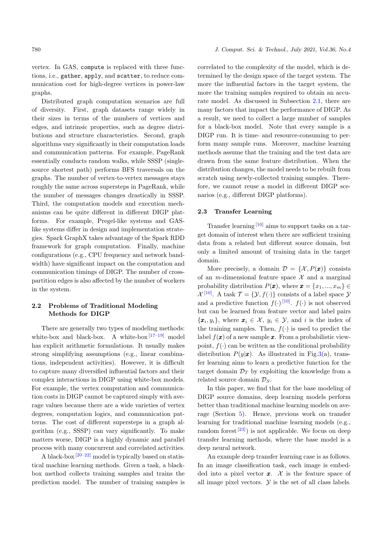Distributed graph computation scenarios are full of diversity. First, graph datasets range widely in their sizes in terms of the numbers of vertices and edges, and intrinsic properties, such as degree distributions and structure characteristics. Second, graph algorithms vary significantly in their computation loads and communication patterns. For example, PageRank essentially conducts random walks, while SSSP (singlesource shortest path) performs BFS traversals on the graphs. The number of vertex-to-vertex messages stays roughly the same across supersteps in PageRank, while the number of messages changes drastically in SSSP. Third, the computation models and execution mechanisms can be quite different in different DIGP platforms. For example, Pregel-like systems and GASlike systems differ in design and implementation strategies. Spark GraphX takes advantage of the Spark RDD framework for graph computation. Finally, machine configurations (e.g., CPU frequency and network bandwidth) have significant impact on the computation and communication timings of DIGP. The number of crosspartition edges is also affected by the number of workers in the system.

# 2.2 Problems of Traditional Modeling Methods for DIGP

There are generally two types of modeling methods: white-box and black-box. A white-box  $[17-19]$  $[17-19]$  model has explicit arithmetic formulations. It usually makes strong simplifying assumptions (e.g., linear combinations, independent activities). However, it is difficult to capture many diversified influential factors and their complex interactions in DIGP using white-box models. For example, the vertex computation and communication costs in DIGP cannot be captured simply with average values because there are a wide varieties of vertex degrees, computation logics, and communication patterns. The cost of different supersteps in a graph algorithm (e.g., SSSP) can vary significantly. To make matters worse, DIGP is a highly dynamic and parallel process with many concurrent and correlated activities.

A black-box  $[20-22]$  $[20-22]$  model is typically based on statistical machine learning methods. Given a task, a blackbox method collects training samples and trains the prediction model. The number of training samples is

correlated to the complexity of the model, which is determined by the design space of the target system. The more the influential factors in the target system, the more the training samples required to obtain an accurate model. As discussed in Subsection [2.1,](#page-1-3) there are many factors that impact the performance of DIGP. As a result, we need to collect a large number of samples for a black-box model. Note that every sample is a DIGP run. It is time- and resource-consuming to perform many sample runs. Moreover, machine learning methods assume that the training and the test data are drawn from the same feature distribution. When the distribution changes, the model needs to be rebuilt from scratch using newly-collected training samples. Therefore, we cannot reuse a model in different DIGP scenarios (e.g., different DIGP platforms).

### <span id="page-2-0"></span>2.3 Transfer Learning

Transfer learning [\[10\]](#page-12-4) aims to support tasks on a target domain of interest when there are sufficient training data from a related but different source domain, but only a limited amount of training data in the target domain.

More precisely, a domain  $\mathcal{D} = \{X, P(\pmb{x})\}$  consists of an *m*-dimensional feature space  $\mathcal X$  and a marginal probability distribution  $P(\boldsymbol{x})$ , where  $\boldsymbol{x} = \{x_1, ..., x_m\} \in$  $\mathcal{X}^{[10]}$  $\mathcal{X}^{[10]}$  $\mathcal{X}^{[10]}$ . A task  $\mathcal{T} = \{ \mathcal{Y}, f(\cdot) \}$  consists of a label space  $\mathcal{Y}$ and a predictive function  $f(\cdot)^{[10]}$  $f(\cdot)^{[10]}$  $f(\cdot)^{[10]}$ .  $f(\cdot)$  is not observed but can be learned from feature vector and label pairs  $\{\boldsymbol{x}_i, y_i\}$ , where  $\boldsymbol{x}_i \in \mathcal{X}, y_i \in \mathcal{Y}$ , and i is the index of the training samples. Then,  $f(.)$  is used to predict the label  $f(\mathbf{x})$  of a new sample  $\mathbf{x}$ . From a probabilistic viewpoint,  $f(\cdot)$  can be written as the conditional probability distribution  $P(y|\mathbf{x})$ . As illustrated in Fig[.3\(](#page-3-0)a), transfer learning aims to learn a predictive function for the target domain  $\mathcal{D}_T$  by exploiting the knowledge from a related source domain  $\mathcal{D}_S$ .

In this paper, we find that for the base modeling of DIGP source domains, deep learning models perform better than traditional machine learning models on average (Section [5\)](#page-7-0). Hence, previous work on transfer learning for traditional machine learning models (e.g., random forest<sup>[\[23\]](#page-12-13)</sup>) is not applicable. We focus on deep transfer learning methods, where the base model is a deep neural network.

An example deep transfer learning case is as follows. In an image classification task, each image is embedded into a pixel vector  $\boldsymbol{x}$ . X is the feature space of all image pixel vectors.  $\mathcal Y$  is the set of all class labels.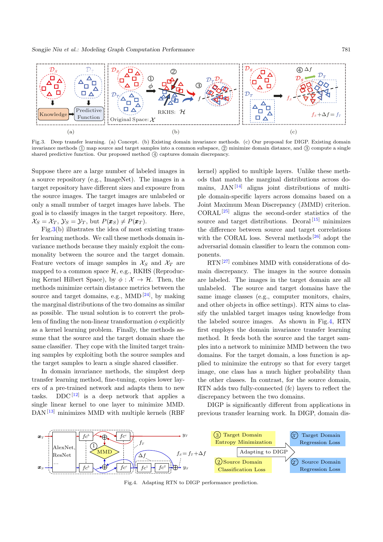<span id="page-3-0"></span>

Fig.3. Deep transfer learning. (a) Concept. (b) Existing domain invariance methods. (c) Our proposal for DIGP. Existing domain invariance methods ① map source and target samples into a common subspace, ② minimize domain distance, and ③ compute a single shared predictive function. Our proposed method  $\overline{4}$  captures domain discrepancy.

Suppose there are a large number of labeled images in a source repository (e.g., ImageNet). The images in a target repository have different sizes and exposure from the source images. The target images are unlabeled or only a small number of target images have labels. The goal is to classify images in the target repository. Here,  $\mathcal{X}_S = \mathcal{X}_T, \mathcal{Y}_S = \mathcal{Y}_T$ , but  $P(\pmb{x}_S) \neq P(\pmb{x}_T)$ .

Fig[.3\(](#page-3-0)b) illustrates the idea of most existing transfer learning methods. We call these methods domain invariance methods because they mainly exploit the commonality between the source and the target domain. Feature vectors of image samples in  $\mathcal{X}_S$  and  $\mathcal{X}_T$  are mapped to a common space  $H$ , e.g., RKHS (Reproducing Kernel Hilbert Space), by  $\phi : \mathcal{X} \to \mathcal{H}$ . Then, the methods minimize certain distance metrics between the source and target domains, e.g.,  $MMD^{[24]}$  $MMD^{[24]}$  $MMD^{[24]}$ , by making the marginal distributions of the two domains as similar as possible. The usual solution is to convert the problem of finding the non-linear transformation  $\phi$  explicitly as a kernel learning problem. Finally, the methods assume that the source and the target domain share the same classifier. They cope with the limited target training samples by exploiting both the source samples and the target samples to learn a single shared classifier.

In domain invariance methods, the simplest deep transfer learning method, fine-tuning, copies lower layers of a pre-trained network and adapts them to new tasks. DDC<sup>[\[12\]](#page-12-6)</sup> is a deep network that applies a single linear kernel to one layer to minimize MMD.  $DAN$ <sup>[\[13\]](#page-12-15)</sup> minimizes MMD with multiple kernels (RBF)

kernel) applied to multiple layers. Unlike these methods that match the marginal distributions across domains,  $JAN<sup>[14]</sup>$  $JAN<sup>[14]</sup>$  $JAN<sup>[14]</sup>$  aligns joint distributions of multiple domain-specific layers across domains based on a Joint Maximum Mean Discrepancy (JMMD) criterion. CORAL[\[25\]](#page-12-17) aligns the second-order statistics of the source and target distributions. Dcoral  $[15]$  minimizes the difference between source and target correlations with the CORAL loss. Several methods<sup>[\[26\]](#page-12-18)</sup> adopt the adversarial domain classifier to learn the common components.

 $RTN^{[27]}$  $RTN^{[27]}$  $RTN^{[27]}$  combines MMD with considerations of domain discrepancy. The images in the source domain are labeled. The images in the target domain are all unlabeled. The source and target domains have the same image classes (e.g., computer monitors, chairs, and other objects in office settings). RTN aims to classify the unlabled target images using knowledge from the labeled source images. As shown in Fig[.4,](#page-3-1) RTN first employs the domain invariance transfer learning method. It feeds both the source and the target samples into a network to minimize MMD between the two domains. For the target domain, a loss function is applied to minimize the entropy so that for every target image, one class has a much higher probability than the other classes. In contrast, for the source domain, RTN adds two fully-connected (fc) layers to reflect the discrepancy between the two domains.

DIGP is significantly different from applications in previous transfer learning work. In DIGP, domain dis-

<span id="page-3-1"></span>

Fig.4. Adapting RTN to DIGP performance prediction.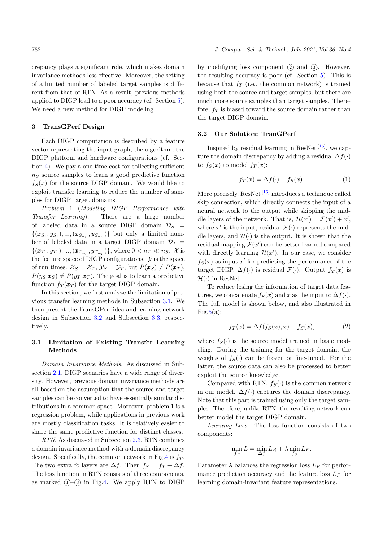crepancy plays a significant role, which makes domain invariance methods less effective. Moreover, the setting of a limited number of labeled target samples is different from that of RTN. As a result, previous methods applied to DIGP lead to a poor accuracy (cf. Section [5\)](#page-7-0). We need a new method for DIGP modeling.

## <span id="page-4-0"></span>3 TransGPerf Design

Each DIGP computation is described by a feature vector representing the input graph, the algorithm, the DIGP platform and hardware configurations (cf. Section [4\)](#page-5-0). We pay a one-time cost for collecting sufficient  $n<sub>S</sub>$  source samples to learn a good predictive function  $f_S(x)$  for the source DIGP domain. We would like to exploit transfer learning to reduce the number of samples for DIGP target domains.

Problem 1 (Modeling DIGP Performance with Transfer Learning). There are a large number of labeled data in a source DIGP domain  $\mathcal{D}_S$  =  $\{(\boldsymbol{x}_{S_1}, y_{S_1}), ..., (\boldsymbol{x}_{S_{n_S}}, y_{S_{n_S}})\}\$  but only a limited number of labeled data in a target DIGP domain  $\mathcal{D}_T$  =  $\{(\pmb{x}_{T_1}, y_{T_1}), ..., (\pmb{x}_{T_{n_T}}, y_{T_{n_T}})\}\text{, where } 0 < n_T \ll n_S$ . X is the feature space of DIGP configurations.  $\mathcal Y$  is the space of run times.  $\mathcal{X}_S = \mathcal{X}_T$ ,  $\mathcal{Y}_S = \mathcal{Y}_T$ , but  $P(\pmb{x}_S) \neq P(\pmb{x}_T)$ ,  $P(y_S|\pmb{x}_S) \neq P(y_T|\pmb{x}_T)$ . The goal is to learn a predictive function  $f_T(\pmb{x}_T)$  for the target DIGP domain.

In this section, we first analyze the limitation of previous transfer learning methods in Subsection [3.1.](#page-4-1) We then present the TransGPerf idea and learning network design in Subsection [3.2](#page-4-2) and Subsection [3.3,](#page-5-1) respectively.

# <span id="page-4-1"></span>3.1 Limitation of Existing Transfer Learning Methods

Domain Invariance Methods. As discussed in Subsection [2.1,](#page-1-3) DIGP scenarios have a wide range of diversity. However, previous domain invariance methods are all based on the assumption that the source and target samples can be converted to have essentially similar distributions in a common space. Moreover, problem 1 is a regression problem, while applications in previous work are mostly classification tasks. It is relatively easier to share the same predictive function for distinct classes.

RTN. As discussed in Subsection [2.3,](#page-2-0) RTN combines a domain invariance method with a domain discrepancy design. Specifically, the common network in Fig[.4](#page-3-1) is  $f<sub>T</sub>$ . The two extra fc layers are  $\Delta f$ . Then  $f_S = f_T + \Delta f$ . The loss function in RTN consists of three components, as marked  $(1)$ - $(3)$  in Fig[.4.](#page-3-1) We apply RTN to DIGP

by modifiying loss component  $(2)$  and  $(3)$ . However, the resulting accuracy is poor (cf. Section [5\)](#page-7-0). This is because that  $f_T$  (i.e., the common network) is trained using both the source and target samples, but there are much more source samples than target samples. Therefore,  $f_T$  is biased toward the source domain rather than the target DIGP domain.

# <span id="page-4-2"></span>3.2 Our Solution: TranGPerf

Inspired by residual learning in ResNet<sup>[\[16\]](#page-12-8)</sup>, we capture the domain discrepancy by adding a residual  $\Delta f(.)$ to  $f_S(x)$  to model  $f_T(x)$ :

<span id="page-4-3"></span>
$$
f_T(x) = \Delta f(\cdot) + f_S(x). \tag{1}
$$

More precisely,  $\text{ResNet}^{\left[16\right]}$  introduces a technique called skip connection, which directly connects the input of a neural network to the output while skipping the middle layers of the network. That is,  $\mathcal{H}(x') = \mathcal{F}(x') + x'$ , where  $x'$  is the input, residual  $\mathcal{F}(\cdot)$  represents the middle layers, and  $\mathcal{H}(\cdot)$  is the output. It is shown that the residual mapping  $\mathcal{F}(x')$  can be better learned compared with directly learning  $\mathcal{H}(x')$ . In our case, we consider  $f_S(x)$  as input x' for predicting the performance of the target DIGP.  $\Delta f(\cdot)$  is residual  $\mathcal{F}(\cdot)$ . Output  $f_T(x)$  is  $\mathcal{H}(\cdot)$  in ResNet.

To reduce losing the information of target data features, we concatenate  $f_S(x)$  and x as the input to  $\Delta f(\cdot)$ . The full model is shown below, and also illustrated in Fig[.5\(](#page-5-2)a):

<span id="page-4-4"></span>
$$
f_T(x) = \Delta f(f_S(x), x) + f_S(x),\tag{2}
$$

where  $f_S(\cdot)$  is the source model trained in basic modeling. During the training for the target domain, the weights of  $f_S(\cdot)$  can be frozen or fine-tuned. For the latter, the source data can also be processed to better exploit the source knowledge.

Compared with RTN,  $f_S(\cdot)$  is the common network in our model.  $\Delta f(\cdot)$  captures the domain discrepancy. Note that this part is trained using only the target samples. Therefore, unlike RTN, the resulting network can better model the target DIGP domain.

Learning Loss. The loss function consists of two components:

$$
\min_{f_T} L = \min_{\Delta f} L_R + \lambda \min_{f_S} L_F.
$$

Parameter  $\lambda$  balances the regression loss  $L_R$  for performance prediction accuracy and the feature loss  $L_F$  for learning domain-invariant feature representations.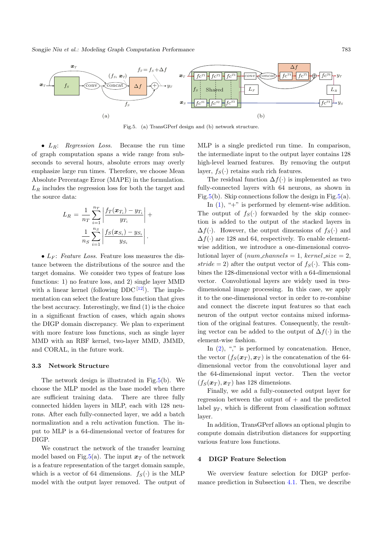Songjie Niu et al.: Modeling Graph Computation Performance 783

<span id="page-5-2"></span>

Fig.5. (a) TransGPerf design and (b) network structure.

•  $L_R$ : Regression Loss. Because the run time of graph computation spans a wide range from subseconds to several hours, absolute errors may overly emphasize large run times. Therefore, we choose Mean Absolute Percentage Error (MAPE) in the formulation.  $L_R$  includes the regression loss for both the target and the source data:

$$
L_R = \frac{1}{n_T} \sum_{i=1}^{n_T} \left| \frac{f_T(\boldsymbol{x}_{T_i}) - y_{T_i}}{y_{T_i}} \right| + \frac{1}{n_S} \sum_{i=1}^{n_S} \left| \frac{f_S(\boldsymbol{x}_{S_i}) - y_{S_i}}{y_{S_i}} \right|.
$$

•  $L_F$ : Feature Loss. Feature loss measures the distance between the distributions of the source and the target domains. We consider two types of feature loss functions: 1) no feature loss, and 2) single layer MMD with a linear kernel (following  $DDC^{[12]}$  $DDC^{[12]}$  $DDC^{[12]}$ ). The implementation can select the feature loss function that gives the best accuracy. Interestingly, we find (1) is the choice in a significant fraction of cases, which again shows the DIGP domain discrepancy. We plan to experiment with more feature loss functions, such as single layer MMD with an RBF kernel, two-layer MMD, JMMD, and CORAL, in the future work.

#### <span id="page-5-1"></span>3.3 Network Structure

The network design is illustrated in Fig[.5\(](#page-5-2)b). We choose the MLP model as the base model when there are sufficient training data. There are three fully connected hidden layers in MLP, each with 128 neurons. After each fully-connected layer, we add a batch normalization and a relu activation function. The input to MLP is a 64-dimensional vector of features for DIGP.

We construct the network of the transfer learning model based on Fig[.5\(](#page-5-2)a). The input  $x_T$  of the network is a feature representation of the target domain sample, which is a vector of 64 dimensions.  $f_S(\cdot)$  is the MLP model with the output layer removed. The output of MLP is a single predicted run time. In comparison, the intermediate input to the output layer contains 128 high-level learned features. By removing the output layer,  $f_S(\cdot)$  retains such rich features.

The residual function  $\Delta f(\cdot)$  is implemented as two fully-connected layers with 64 neurons, as shown in Fig[.5\(](#page-5-2)b). Skip connections follow the design in Fig.5(a).

In  $(1)$ , "+" is performed by element-wise addition. The output of  $f_S(\cdot)$  forwarded by the skip connection is added to the output of the stacked layers in  $\Delta f(\cdot)$ . However, the output dimensions of  $f_S(\cdot)$  and  $\Delta f(\cdot)$  are 128 and 64, respectively. To enable elementwise addition, we introduce a one-dimensional convolutional layer of  $(num{\_}channels = 1, \,kernel{\_}size = 2,$ stride = 2) after the output vector of  $f_S(\cdot)$ . This combines the 128-dimensional vector with a 64-dimensional vector. Convolutional layers are widely used in twodimensional image processing. In this case, we apply it to the one-dimensional vector in order to re-combine and connect the discrete input features so that each neuron of the output vector contains mixed information of the original features. Consequently, the resulting vector can be added to the output of  $\Delta f(\cdot)$  in the element-wise fashion.

In  $(2)$ , "," is performed by concatenation. Hence, the vector  $(f_S(\boldsymbol{x}_T), \boldsymbol{x}_T)$  is the concatenation of the 64dimensional vector from the convolutional layer and the 64-dimensional input vector. Then the vector  $(f_S(\boldsymbol{x}_T), \boldsymbol{x}_T)$  has 128 dimensions.

Finally, we add a fully-connected output layer for regression between the output of  $+$  and the predicted label  $y_T$ , which is different from classification softmax layer.

In addition, TransGPerf allows an optional plugin to compute domain distribution distances for supporting various feature loss functions.

### <span id="page-5-0"></span>4 DIGP Feature Selection

We overview feature selection for DIGP performance prediction in Subsection [4.1.](#page-6-0) Then, we describe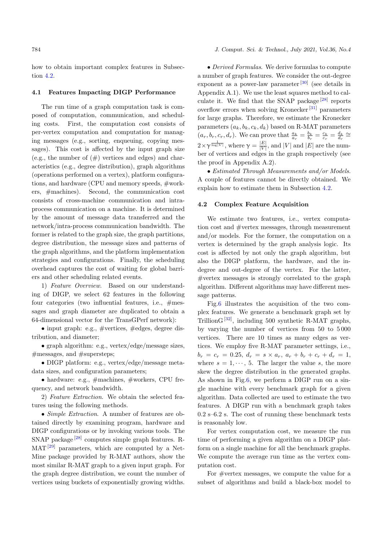how to obtain important complex features in Subsection [4.2.](#page-6-1)

#### <span id="page-6-0"></span>4.1 Features Impacting DIGP Performance

The run time of a graph computation task is composed of computation, communication, and scheduling costs. First, the computation cost consists of per-vertex computation and computation for managing messages (e.g., sorting, enqueuing, copying messages). This cost is affected by the input graph size (e.g., the number of  $(\#)$  vertices and edges) and characteristics (e.g., degree distribution), graph algorithms (operations performed on a vertex), platform configurations, and hardware (CPU and memory speeds, #workers, #machines). Second, the communication cost consists of cross-machine communication and intraprocess communication on a machine. It is determined by the amount of message data transferred and the network/intra-process communication bandwidth. The former is related to the graph size, the graph partitions, degree distribution, the message sizes and patterns of the graph algorithms, and the platform implementation strategies and configurations. Finally, the scheduling overhead captures the cost of waiting for global barriers and other scheduling related events.

1) Feature Overview. Based on our understanding of DIGP, we select 62 features in the following four categories (two influential features, i.e., #messages and graph diameter are duplicated to obtain a 64-dimensional vector for the TransGPerf network):

• input graph: e.g.,  $\#$ vertices,  $\#$ edges, degree distribution, and diameter;

• graph algorithm: e.g., vertex/edge/message sizes, #messages, and #supersteps;

• DIGP platform: e.g., vertex/edge/message metadata sizes, and configuration parameters;

• hardware: e.g.,  $\#$ machines,  $\#$ workers, CPU frequency, and network bandwidth.

2) Feature Extraction. We obtain the selected features using the following methods.

• *Simple Extraction*. A number of features are obtained directly by examining program, hardware and DIGP configurations or by invoking various tools. The SNAP package<sup>[\[28\]](#page-12-20)</sup> computes simple graph features. R- $MAT<sup>[29]</sup> parameters, which are computed by a Net MAT<sup>[29]</sup> parameters, which are computed by a Net MAT<sup>[29]</sup> parameters, which are computed by a Net-$ Mine package provided by R-MAT authors, show the most similar R-MAT graph to a given input graph. For the graph degree distribution, we count the number of vertices using buckets of exponentially growing widths.

#### 784 J. Comput. Sci. & Technol., July 2021, Vol.36, No.4

• Derived Formulas. We derive formulas to compute a number of graph features. We consider the out-degree exponent as a power-law parameter  $[30]$  (see details in Appendix A.1). We use the least squares method to calculate it. We find that the SNAP package  $[28]$  reports overflow errors when solving Kronecker<sup>[\[31\]](#page-12-23)</sup> parameters for large graphs. Therefore, we estimate the Kronecker parameters  $(a_k, b_k, c_k, d_k)$  based on R-MAT parameters  $(a_r, b_r, c_r, d_r)$ . We can prove that  $\frac{a_k}{a_r} = \frac{b_k}{b_r} = \frac{c_k}{c_r} = \frac{d_k}{d_r} \approx$  $2\times\gamma^{\frac{1}{\log|V|}}$ , where  $\gamma=\frac{|E|}{|V|}$  $\frac{|E|}{|V|}$ , and  $|V|$  and  $|E|$  are the number of vertices and edges in the graph respectively (see the proof in Appendix A.2).

• Estimated Through Measurements and/or Models. A couple of features cannot be directly obtained. We explain how to estimate them in Subsection [4.2.](#page-6-1)

### <span id="page-6-1"></span>4.2 Complex Feature Acquisition

We estimate two features, i.e., vertex computation cost and #vertex messages, through measurement and/or models. For the former, the computation on a vertex is determined by the graph analysis logic. Its cost is affected by not only the graph algorithm, but also the DIGP platform, the hardware, and the indegree and out-degree of the vertex. For the latter, #vertex messages is strongly correlated to the graph algorithm. Different algorithms may have different message patterns.

Fig[.6](#page-7-1) illustrates the acquisition of the two complex features. We generate a benchmark graph set by TrillionG<sup>[\[32\]](#page-12-24)</sup>, including 500 synthetic R-MAT graphs, by varying the number of vertices from 50 to 5 000 vertices. There are 10 times as many edges as vertices. We employ five R-MAT parameter settings, i.e.,  $b_r = c_r = 0.25, d_r = s \times a_r, a_r + b_r + c_r + d_r = 1,$ where  $s = 1, \dots, 5$ . The larger the value s, the more skew the degree distribution in the generated graphs. As shown in Fig[.6,](#page-7-1) we perform a DIGP run on a single machine with every benchmark graph for a given algorithm. Data collected are used to estimate the two features. A DIGP run with a benchmark graph takes 0.2 s–6.2 s. The cost of running these benchmark tests is reasonably low.

For vertex computation cost, we measure the run time of performing a given algorithm on a DIGP platform on a single machine for all the benchmark graphs. We compute the average run time as the vertex computation cost.

For #vertex messages, we compute the value for a subset of algorithms and build a black-box model to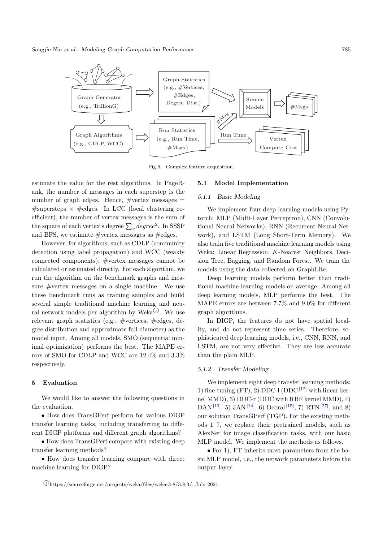<span id="page-7-1"></span>

Fig.6. Complex feature acquisition.

estimate the value for the rest algorithms. In PageRank, the number of messages in each superstep is the number of graph edges. Hence,  $#vertex$  messages  $=$ #supersteps  $\times$  #edges. In LCC (local clustering coefficient), the number of vertex messages is the sum of the square of each vertex's degree  $\sum_{v} degree^2$ . In SSSP and BFS, we estimate  $#vertex$  messages as  $#edges.$ 

However, for algorithms, such as CDLP (community detection using label propagation) and WCC (weakly connected components), #vertex messages cannot be calculated or estimated directly. For each algorithm, we run the algorithm on the benchmark graphs and measure #vertex messages on a single machine. We use these benchmark runs as training samples and build several simple traditional machine learning and neural network models per algorithm by Weka $^{\textcircled{\tiny 1}}$ . We use relevant graph statistics (e.g., #vertices, #edges, degree distribution and approximate full diameter) as the model input. Among all models, SMO (sequential minimal optimization) performs the best. The MAPE errors of SMO for CDLP and WCC are 12.4% and 3.3% respectively.

#### <span id="page-7-0"></span>5 Evaluation

We would like to answer the following questions in the evaluation.

• How does TransGPerf perform for various DIGP transfer learning tasks, including transferring to different DIGP platforms and different graph algorithms?

• How does TransGPerf compare with existing deep transfer learning methods?

• How does transfer learning compare with direct machine learning for DIGP?

#### 5.1 Model Implementation

#### 5.1.1 Basic Modeling

We implement four deep learning models using Pytorch: MLP (Multi-Layer Perceptron), CNN (Convolutional Neural Networks), RNN (Recurrent Neural Network), and LSTM (Long Short-Term Memory). We also train five traditional machine learning models using Weka: Linear Regression, K-Nearest Neighbors, Decision Tree, Bagging, and Random Forest. We train the models using the data collected on GraphLite.

Deep learning models perform better than traditional machine learning models on average. Among all deep learning models, MLP performs the best. The MAPE errors are between 7.7% and 9.0% for different graph algorithms.

In DIGP, the features do not have spatial locality, and do not represent time series. Therefore, sophisticated deep learning models, i.e., CNN, RNN, and LSTM, are not very effective. They are less accurate than the plain MLP.

# 5.1.2 Transfer Modeling

We implement eight deep transfer learning methods: 1) fine-tuning  $(FT)$ , 2) DDC-l (DDC  $[12]$  with linear kernel MMD), 3) DDC-r (DDC with RBF kernel MMD), 4) DAN<sup>[\[13\]](#page-12-15)</sup>, 5) JAN<sup>[\[14\]](#page-12-16)</sup>, 6) Dcoral<sup>[\[15\]](#page-12-7)</sup>, 7) RTN<sup>[\[27\]](#page-12-19)</sup>, and 8) our solution TransGPerf (TGP). For the existing methods 1–7, we replace their pretrained models, such as AlexNet for image classification tasks, with our basic MLP model. We implement the methods as follows.

• For 1), FT inherits most parameters from the basic MLP model, i.e., the network parameters before the output layer.

 $\Omega_{\text{https://sourcefore.net/projects/weka/files/weka-3-8/3.8.3/}, \text{July } 2021.$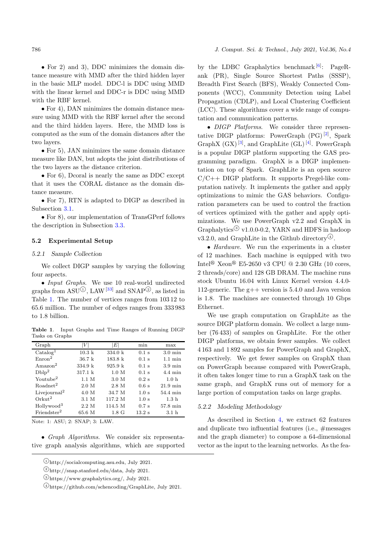• For 2) and 3), DDC minimizes the domain distance measure with MMD after the third hidden layer in the basic MLP model. DDC-l is DDC using MMD with the linear kernel and DDC-r is DDC using MMD with the RBF kernel.

• For 4), DAN minimizes the domain distance measure using MMD with the RBF kernel after the second and the third hidden layers. Here, the MMD loss is computed as the sum of the domain distances after the two layers.

• For 5), JAN minimizes the same domain distance measure like DAN, but adopts the joint distributions of the two layers as the distance criterion.

• For 6), Dcoral is nearly the same as DDC except that it uses the CORAL distance as the domain distance measure.

• For 7), RTN is adapted to DIGP as described in Subsection [3.1.](#page-4-1)

• For 8), our implementation of TransGPerf follows the description in Subsection [3.3.](#page-5-1)

#### 5.2 Experimental Setup

#### 5.2.1 Sample Collection

We collect DIGP samples by varying the following four aspects.

• Input Graphs. We use 10 real-world undirected graphs from  $ASU^{(1)}$ , LAW<sup>[\[33\]](#page-12-25)</sup> and SNAP<sup>②</sup>, as listed in Table [1.](#page-8-0) The number of vertices ranges from 103 12 to 65.6 million. The number of edges ranges from 333 983 to 1.8 billion.

<span id="page-8-0"></span>Table 1. Input Graphs and Time Ranges of Running DIGP Tasks on Graphs

| Graph                    | $\left V\right $ | $\left E\right $ | min              | max               |
|--------------------------|------------------|------------------|------------------|-------------------|
| $\text{Catalog}^1$       | $10.3\;k$        | 334.0 k          | $0.1$ s          | $3.0 \text{ min}$ |
| Enron <sup>2</sup>       | $36.7\;k$        | $183.8\;k$       | $0.1$ s          | $1.1 \text{ min}$ |
| $A$ mazon <sup>2</sup>   | 334.9 k          | 925.9 k          | $0.1$ s          | $3.9 \text{ min}$ |
| Dblp <sup>2</sup>        | 317.1 k          | 1.0 M            | $0.1$ s          | $4.4 \text{ min}$ |
| Youtube <sup>2</sup>     | 1.1 M            | 3.0 M            | $0.2$ s          | 1.0 <sub>h</sub>  |
| Roadnet <sup>2</sup>     | 2.0 M            | 2.8 M            | 0.6 s            | $21.9$ min        |
| Livejournal <sup>2</sup> | 4.0 M            | 34.7 M           | 1.0 <sub>s</sub> | 54.4 min          |
| Orkut <sup>2</sup>       | 3.1 M            | 117.2 M          | 1.0 <sub>s</sub> | 1.3 <sub>h</sub>  |
| Hollywood <sup>3</sup>   | 2.2 M            | 114.5 M          | $0.7$ s          | 57.8 min          |
| Friendster <sup>2</sup>  | 65.6 M           | $1.8\text{ G}$   | $13.2 \text{ s}$ | 3.1 <sub>h</sub>  |

Note: 1: ASU; 2: SNAP; 3: LAW.

• Graph Algorithms. We consider six representative graph analysis algorithms, which are supported

 $\Phi$ https://github.com/schencoding/GraphLite, July 2021.

by the LDBC Graphalytics benchmark <sup>[\[6\]](#page-12-0)</sup>: PageRank (PR), Single Source Shortest Paths (SSSP), Breadth First Search (BFS), Weakly Connected Components (WCC), Community Detection using Label Propagation (CDLP), and Local Clustering Coefficient (LCC). These algorithms cover a wide range of computation and communication patterns.

• DIGP Platforms. We consider three representative DIGP platforms: PowerGraph  $(PG)^{[2]}$  $(PG)^{[2]}$  $(PG)^{[2]}$ , Spark GraphX  $(GX)^{[3]}$  $(GX)^{[3]}$  $(GX)^{[3]}$ , and GraphLite  $(GL)^{[4]}$  $(GL)^{[4]}$  $(GL)^{[4]}$ . PowerGraph is a popular DIGP platform supporting the GAS programming paradigm. GraphX is a DIGP implementation on top of Spark. GraphLite is an open source  $C/C++$  DIGP platform. It supports Pregel-like computation natively. It implements the gather and apply optimizations to mimic the GAS behaviors. Configuration parameters can be used to control the fraction of vertices optimized with the gather and apply optimizations. We use PowerGraph v2.2 and GraphX in Graphalytics<sup>③</sup> v1.0.0-0.2, YARN and HDFS in hadoop v3.2.0, and GraphLite in the Github directory<sup> $\circled{4}$ </sup>.

• *Hardware*. We run the experiments in a cluster of 12 machines. Each machine is equipped with two Intel<sup>®</sup> Xeon<sup>®</sup> E5-2650 v3 CPU @ 2.30 GHz (10 cores, 2 threads/core) and 128 GB DRAM. The machine runs stock Ubuntu 16.04 with Linux Kernel version 4.4.0- 112-generic. The g++ version is 5.4.0 and Java version is 1.8. The machines are connected through 10 Gbps Ethernet.

We use graph computation on GraphLite as the source DIGP platform domain. We collect a large number (76 433) of samples on GraphLite. For the other DIGP platforms, we obtain fewer samples. We collect 4 163 and 1 892 samples for PowerGraph and GraphX, respectively. We get fewer samples on GraphX than on PowerGraph because compared with PowerGraph, it often takes longer time to run a GraphX task on the same graph, and GraphX runs out of memory for a large portion of computation tasks on large graphs.

# 5.2.2 Modeling Methodology

As described in Section [4,](#page-5-0) we extract 62 features and duplicate two influential features (i.e., #messages and the graph diameter) to compose a 64-dimensional vector as the input to the learning networks. As the fea-

 $\mathcal{D}_{\text{http://socialcomputing.asu.edu, July 2021}.$ 

<sup>○</sup><sup>2</sup> http://snap.stanford.edu/data, July 2021.

<sup>○</sup><sup>3</sup> https://www.graphalytics.org/, July 2021.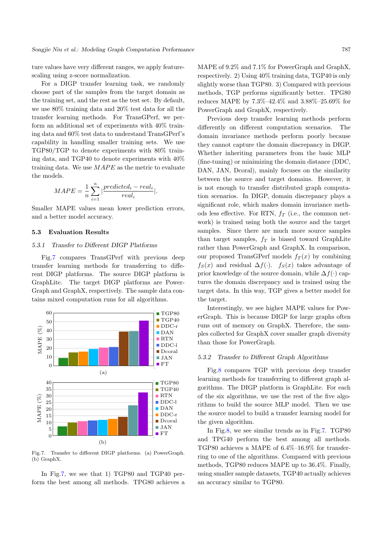ture values have very different ranges, we apply featurescaling using z-score normalization.

For a DIGP transfer learning task, we randomly choose part of the samples from the target domain as the training set, and the rest as the test set. By default, we use 80% training data and 20% test data for all the transfer learning methods. For TransGPerf, we perform an additional set of experiments with 40% training data and 60% test data to understand TransGPerf's capability in handling smaller training sets. We use TGP80/TGP to denote experiments with 80% training data, and TGP40 to denote experiments with 40% training data. We use  $MAPE$  as the metric to evaluate the models.

$$
MAPE = \frac{1}{n} \sum_{i=1}^{n} \left| \frac{predicted_i - real_i}{real_i} \right|.
$$

Smaller MAPE values mean lower prediction errors, and a better model accuracy.

#### 5.3 Evaluation Results

### 5.3.1 Transfer to Different DIGP Platforms

Fig[.7](#page-9-0) compares TransGPerf with previous deep transfer learning methods for transferring to different DIGP platforms. The source DIGP platform is GraphLite. The target DIGP platforms are Power-Graph and GraphX, respectively. The sample data contains mixed computation runs for all algorithms.

<span id="page-9-0"></span>

Fig.7. Transfer to different DIGP platforms. (a) PowerGraph. (b) GraphX.

In Fig[.7,](#page-9-0) we see that 1) TGP80 and TGP40 perform the best among all methods. TPG80 achieves a MAPE of 9.2% and 7.1% for PowerGraph and GraphX, respectively. 2) Using 40% training data, TGP40 is only slightly worse than TGP80. 3) Compared with previous methods, TGP performs significantly better. TPG80 reduces MAPE by 7.3%–42.4% and 3.88%–25.69% for PowerGraph and GraphX, respectively.

Previous deep transfer learning methods perform differently on different computation scenarios. The domain invariance methods perform poorly because they cannot capture the domain discrepancy in DIGP. Whether inheriting parameters from the basic MLP (fine-tuning) or minimizing the domain distance (DDC, DAN, JAN, Dcoral), mainly focuses on the similarity between the source and target domains. However, it is not enough to transfer distributed graph computation scenarios. In DIGP, domain discrepancy plays a significant role, which makes domain invariance methods less effective. For RTN,  $f_T$  (i.e., the common network) is trained using both the source and the target samples. Since there are much more source samples than target samples,  $f_T$  is biased toward GraphLite rather than PowerGraph and GraphX. In comparison, our proposed TransGPerf models  $f_T(x)$  by combining  $f_S(x)$  and residual  $\Delta f(\cdot)$ .  $f_S(x)$  takes advantage of prior knowledge of the source domain, while  $\Delta f(\cdot)$  captures the domain discrepancy and is trained using the target data. In this way, TGP gives a better model for the target.

Interestingly, we see higher MAPE values for PowerGraph. This is because DIGP for large graphs often runs out of memory on GraphX. Therefore, the samples collected for GraphX cover smaller graph diversity than those for PowerGraph.

#### 5.3.2 Transfer to Different Graph Algorithms

Fig[.8](#page-10-0) compares TGP with previous deep transfer learning methods for transferring to different graph algorithms. The DIGP platform is GraphLite. For each of the six algorithms, we use the rest of the five algorithms to build the source MLP model. Then we use the source model to build a transfer learning model for the given algorithm.

In Fig[.8,](#page-10-0) we see similar trends as in Fig[.7.](#page-9-0) TGP80 and TPG40 perform the best among all methods. TGP80 achieves a MAPE of 6.4%–16.9% for transferring to one of the algorithms. Compared with previous methods, TGP80 reduces MAPE up to 36.4%. Finally, using smaller sample datasets, TGP40 actually achieves an accuracy similar to TGP80.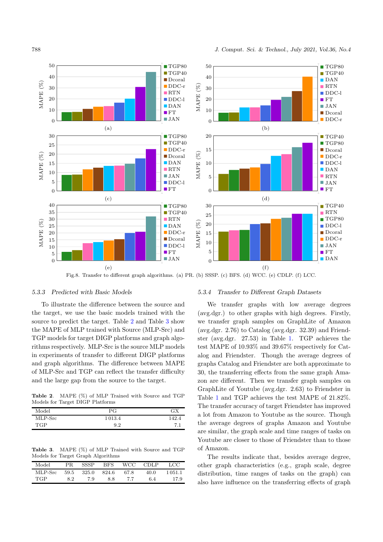

<span id="page-10-0"></span>

Fig.8. Transfer to different graph algorithms. (a) PR. (b) SSSP. (c) BFS. (d) WCC. (e) CDLP. (f) LCC.

#### 5.3.3 Predicted with Basic Models

To illustrate the difference between the source and the target, we use the basic models trained with the source to predict the target. Table [2](#page-10-1) and Table [3](#page-10-2) show the MAPE of MLP trained with Source (MLP-Src) and TGP models for target DIGP platforms and graph algorithms respectively. MLP-Src is the source MLP models in experiments of transfer to different DIGP platforms and graph algorithms. The difference between MAPE of MLP-Src and TGP can reflect the transfer difficulty and the large gap from the source to the target.

<span id="page-10-1"></span>Table 2. MAPE (%) of MLP Trained with Source and TGP Models for Target DIGP Platforms

| Model   | РG     | ЗΧ             |
|---------|--------|----------------|
| MLP-Src | 1013.4 | 142.           |
| TGP     | 9.2    | $\overline{ }$ |

<span id="page-10-2"></span>Table 3. MAPE (%) of MLP Trained with Source and TGP Models for Target Graph Algorithms

| Model      | PR.  | <b>SSSP</b> | <b>BFS</b> | WCC- | <b>CDLP</b> | LCC    |
|------------|------|-------------|------------|------|-------------|--------|
| MLP-Src    | 59.5 | 325.0       | 824.6      | 67.8 | 40.0        | 1051.1 |
| <b>TGP</b> | 8.2  | 7.9         | 8.8        | 77   | 6.4         | 17.9   |

### 5.3.4 Transfer to Different Graph Datasets

We transfer graphs with low average degrees (avg.dgr.) to other graphs with high degrees. Firstly, we transfer graph samples on GraphLite of Amazon (avg.dgr. 2.76) to Catalog (avg.dgr. 32.39) and Friendster (avg.dgr. 27.53) in Table [1.](#page-8-0) TGP achieves the test MAPE of 10.93% and 39.67% respectively for Catalog and Friendster. Though the average degrees of graphs Catalog and Friendster are both approximate to 30, the transferring effects from the same graph Amazon are different. Then we transfer graph samples on GraphLite of Youtube (avg.dgr. 2.63) to Friendster in Table [1](#page-8-0) and TGP achieves the test MAPE of 21.82%. The transfer accuracy of target Friendster has improved a lot from Amazon to Youtube as the source. Though the average degrees of graphs Amazon and Youtube are similar, the graph scale and time ranges of tasks on Youtube are closer to those of Friendster than to those of Amazon.

The results indicate that, besides average degree, other graph characteristics (e.g., graph scale, degree distribution, time ranges of tasks on the graph) can also have influence on the transferring effects of graph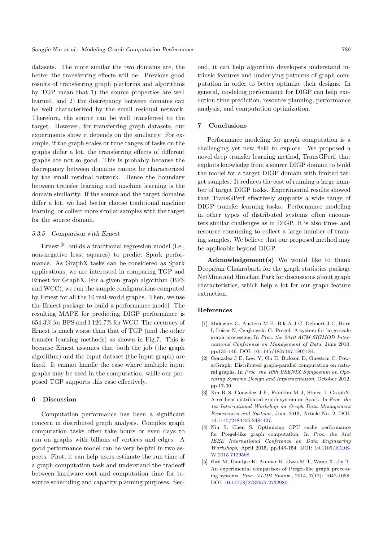datasets. The more similar the two domains are, the better the transferring effects will be. Previous good results of transferring graph platforms and algorithms by TGP mean that 1) the source properties are well learned, and 2) the discrepancy between domains can be well characterized by the small residual network. Therefore, the source can be well transferred to the target. However, for transferring graph datasets, our experiments show it depends on the similarity. For example, if the graph scales or time ranges of tasks on the graphs differ a lot, the transferring effects of different graphs are not so good. This is probably because the discrepancy between domains cannot be characterized by the small residual network. Hence the boundary between transfer learning and machine learning is the domain similarity. If the source and the target domains differ a lot, we had better choose traditional machine learning, or collect more similar samples with the target for the source domain.

#### 5.3.5 Comparison with Ernest

Ernest<sup>[\[9\]](#page-12-3)</sup> builds a traditional regression model (i.e., non-negative least squares) to predict Spark performance. As GraphX tasks can be considered as Spark applications, we are interested in comparing TGP and Ernest for GraphX. For a given graph algorithm (BFS and WCC), we run the sample configurations computed by Ernest for all the 10 real-world graphs. Then, we use the Ernest package to build a performance model. The resulting MAPE for predicting DIGP performance is 654.3% for BFS and 1 120.7% for WCC. The accuracy of Ernest is much worse than that of TGP (and the other transfer learning methods) as shown in Fig[.7.](#page-9-0) This is because Ernest assumes that both the job (the graph algorithm) and the input dataset (the input graph) are fixed. It cannot handle the case where multiple input graphs may be used in the computation, while our proposed TGP supports this case effectively.

# <span id="page-11-3"></span>6 Discussion

Computation performance has been a significant concern in distributed graph analysis. Complex graph computation tasks often take hours or even days to run on graphs with billions of vertices and edges. A good performance model can be very helpful in two aspects. First, it can help users estimate the run time of a graph computation task and understand the tradeoff between hardware cost and computation time for resource scheduling and capacity planning purposes. Second, it can help algorithm developers understand intrinsic features and underlying patterns of graph computation in order to better optimize their designs. In general, modeling performance for DIGP can help execution time prediction, resource planning, performance analysis, and computation optimization.

#### <span id="page-11-4"></span>7 Conclusions

Performance modeling for graph computation is a challenging yet new field to explore. We proposed a novel deep transfer learning method, TransGPerf, that exploits knowledge from a source DIGP domain to build the model for a target DIGP domain with limited target samples. It reduces the cost of running a large number of target DIGP tasks. Experimental results showed that TransGPerf effectively supports a wide range of DIGP transfer learning tasks. Performance modeling in other types of distributed systems often encounters similar challenges as in DIGP. It is also time- and resource-consuming to collect a large number of training samples. We believe that our proposed method may be applicable beyond DIGP.

Acknowledgement(s) We would like to thank Deepayan Chakrabarti for the graph statistics package NetMine and Himchan Park for discussions about graph characteristics, which help a lot for our graph feature extraction.

#### References

- <span id="page-11-0"></span>[1] Malewicz G, Austern M H, Bik A J C, Dehnert J C, Horn I, Leiser N, Czajkowski G. Pregel: A system for large-scale graph processing. In Proc. the 2010 ACM SIGMOD International Conference on Management of Data, June 2010, pp.135-146. DOI: [10.1145/1807167.1807184.](https://doi.org/10.1145/1807167.1807184)
- <span id="page-11-5"></span>[2] Gonzalez J E, Low Y, Gu H, Bickson D, Guestrin C. PowerGraph: Distributed graph-parallel computation on natural graphs. In Proc. the 10th USENIX Symposium on Operating Systems Design and Implementation, October 2012, pp.17-30.
- <span id="page-11-6"></span>[3] Xin R S, Gonzalez J E, Franklin M J, Stoica I. GraphX: A resilient distributed graph system on Spark. In Proc. the 1st International Workshop on Graph Data Management Experiences and Systems, June 2013, Article No. 2. DOI: [10.1145/2484425.2484427.](https://doi.org/10.1145/2484425.2484427)
- <span id="page-11-1"></span>[4] Niu S, Chen S. Optimizing CPU cache performance for Pregel-like graph computation. In Proc. the 31st IEEE International Conference on Data Engineering Workshops, April 2015, pp.149-154. DOI: [10.1109/ICDE-](https://doi.org/10.11\discretionary {-}{}{}0\discretionary {-}{}{}9/I\discretionary {-}{}{}C\discretionary {-}{}{}D\discretionary {-}{}{}E\discretionary {-}{}{}W.2015.7129568)[W.2015.7129568.](https://doi.org/10.11\discretionary {-}{}{}0\discretionary {-}{}{}9/I\discretionary {-}{}{}C\discretionary {-}{}{}D\discretionary {-}{}{}E\discretionary {-}{}{}W.2015.7129568)
- <span id="page-11-2"></span>[5] Han M, Daudjee K, Ammar K,  $Ozsu M T$ , Wang X, Jin T. An experimental comparison of Pregel-like graph processing systems. Proc. VLDB Endow., 2014, 7(12): 1047-1058. DOI: [10.14778/2732977.2732980.](https://doi.org/10.14778/2732977.2732980)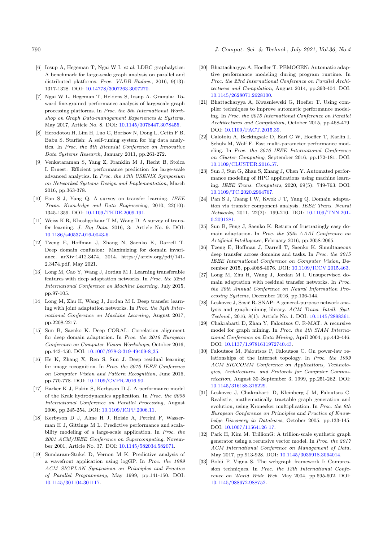790 J. Comput. Sci. & Technol., July 2021, Vol.36, No.4

- <span id="page-12-0"></span>[6] Iosup A, Hegeman T, Ngai W L et al. LDBC graphalytics: A benchmark for large-scale graph analysis on parallel and distributed platforms. Proc. VLDB Endow., 2016, 9(13): 1317-1328. DOI: [10.14778/3007263.3007270.](https://doi.org/10.14778/3007263.3007270)
- <span id="page-12-1"></span>[7] Ngai W L, Hegeman T, Heldens S, Iosup A. Granula: Toward fine-grained performance analysis of largescale graph processing platforms. In Proc. the 5th International Workshop on Graph Data-management Experiences & Systems, May 2017, Article No. 8. DOI: [10.1145/3078447.3078455.](https://doi.org/10.1145/3078447.3078455)
- <span id="page-12-2"></span>[8] Herodotou H, Lim H, Luo G, Borisov N, Dong L, Cetin F B, Babu S. Starfish: A self-tuning system for big data analytics. In Proc. the 5th Biennial Conference on Innovative Data Systems Research, January 2011, pp.261-272.
- <span id="page-12-3"></span>[9] Venkataraman S, Yang Z, Franklin M J, Recht B, Stoica I. Ernest: Efficient performance prediction for large-scale advanced analytics. In Proc. the 13th USENIX Symposium on Networked Systems Design and Implementation, March 2016, pp.363-378.
- <span id="page-12-4"></span>[10] Pan S J, Yang Q. A survey on transfer learning. IEEE Trans. Knowledge and Data Engineering, 2010, 22(10): 1345-1359. DOI: [10.1109/TKDE.2009.191.](https://doi.org/10.1109/TKDE.2009.191)
- <span id="page-12-5"></span>[11] Weiss K R, Khoshgoftaar T M, Wang D. A survey of transfer learning. J. Big Data, 2016, 3: Article No. 9. DOI: [10.1186/s40537-016-0043-6.](https://doi.org/10.1186/s40537-016-0043-6)
- <span id="page-12-6"></span>[12] Tzeng E, Hoffman J, Zhang N, Saenko K, Darrell T. Deep domain confusion: Maximizing for domain invariance. arXiv:1412.3474, 2014. https://arxiv.org/pdf/141- 2.3474.pdf, May 2021.
- <span id="page-12-15"></span>[13] Long M, Cao Y, Wang J, Jordan M I. Learning transferable features with deep adaptation networks. In Proc. the 32nd International Conference on Machine Learning, July 2015, pp.97-105.
- <span id="page-12-16"></span>[14] Long M, Zhu H, Wang J, Jordan M I. Deep transfer learning with joint adaptation networks. In Proc. the 34th International Conference on Machine Learning, August 2017, pp.2208-2217.
- <span id="page-12-7"></span>[15] Sun B, Saenko K. Deep CORAL: Correlation alignment for deep domain adaptation. In Proc. the 2016 European Conference on Computer Vision Workshops, October 2016, pp.443-450. DOI: [10.1007/978-3-319-49409-8](https://doi.org/10.1007/978-3-319-49409-8_35) 35.
- <span id="page-12-8"></span>[16] He K, Zhang X, Ren S, Sun J. Deep residual learning for image recognition. In Proc. the 2016 IEEE Conference on Computer Vision and Pattern Recognition, June 2016, pp.770-778. DOI: [10.1109/CVPR.2016.90.](https://doi.org/10.1109/CVPR.2016.90)
- <span id="page-12-9"></span>[17] Barker K J, Pakin S, Kerbyson D J. A performance model of the Krak hydrodynamics application. In Proc. the 2006 International Conference on Parallel Processing, August 2006, pp.245-254. DOI: [10.1109/ICPP.2006.11.](https://doi.org/10.1109/ICPP.2006.11)
- [18] Kerbyson D J, Alme H J, Hoisie A, Petrini F, Wasserman H J, Gittings M L. Predictive performance and scalability modeling of a large-scale application. In Proc. the 2001 ACM/IEEE Conference on Supercomputing, November 2001, Article No. 37. DOI: [10.1145/582034.582071.](https://doi.org/10.1145/582034.582071)
- <span id="page-12-10"></span>[19] Sundaram-Stukel D, Vernon M K. Predictive analysis of a wavefront application using logGP. In Proc. the 1999 ACM SIGPLAN Symposium on Principles and Practice of Parallel Programming, May 1999, pp.141-150. DOI: [10.1145/301104.301117.](https://doi.org/10.1145/301104.301117)
- <span id="page-12-11"></span>[20] Bhattacharyya A, Hoefler T. PEMOGEN: Automatic adaptive performance modeling during program runtime. In Proc. the 23rd International Conference on Parallel Architectures and Compilation, August 2014, pp.393-404. DOI: [10.1145/2628071.2628100.](https://doi.org/10.1145/2628071.2628100)
- [21] Bhattacharyya A, Kwasniewski G, Hoefler T. Using compiler techniques to improve automatic performance modeling. In Proc. the 2015 International Conference on Parallel Architectures and Compilation, October 2015, pp.468-479. DOI: [10.1109/PACT.2015.39.](https://doi.org/10.1109/PACT.2015.39)
- <span id="page-12-12"></span>[22] Calotoiu A, Beckingsale D, Earl C W, Hoefler T, Karlin I, Schulz M, Wolf F. Fast multi-parameter performance modeling. In Proc. the 2016 IEEE International Conference on Cluster Computing, September 2016, pp.172-181. DOI: [10.1109/CLUSTER.2016.57.](https://doi.org/10.1109/CLUSTER.2016.57)
- <span id="page-12-13"></span>[23] Sun J, Sun G, Zhan S, Zhang J, Chen Y. Automated performance modeling of HPC applications using machine learning. IEEE Trans. Computers, 2020, 69(5): 749-763. DOI: [10.1109/TC.2020.2964767.](https://doi.org/10.1109/TC.2020.2964767)
- <span id="page-12-14"></span>[24] Pan S J, Tsang I W, Kwok J T, Yang Q. Domain adaptation via transfer component analysis. IEEE Trans. Neural Networks, 2011, 22(2): 199-210. DOI: [10.1109/TNN.201-](https://doi.org/10.11\discretionary {-}{}{}0\discretionary {-}{}{}9/T\discretionary {-}{}{}N\discretionary {-}{}{}N.2\discretionary {-}{}{}0\discretionary {-}{}{}1\discretionary {-}{}{}0.2091281) [0.2091281.](https://doi.org/10.11\discretionary {-}{}{}0\discretionary {-}{}{}9/T\discretionary {-}{}{}N\discretionary {-}{}{}N.2\discretionary {-}{}{}0\discretionary {-}{}{}1\discretionary {-}{}{}0.2091281)
- <span id="page-12-17"></span>[25] Sun B, Feng J, Saenko K. Return of frustratingly easy domain adaptation. In Proc. the 30th AAAI Conference on Artificial Intelligence, February 2016, pp.2058-2065.
- <span id="page-12-18"></span>[26] Tzeng E, Hoffman J, Darrell T, Saenko K. Simultaneous deep transfer across domains and tasks. In Proc. the 2015 IEEE International Conference on Computer Vision, December 2015, pp.4068-4076. DOI: [10.1109/ICCV.2015.463.](https://doi.org/10.1109/ICCV.2015.463)
- <span id="page-12-19"></span>[27] Long M, Zhu H, Wang J, Jordan M I. Unsupervised domain adaptation with residual transfer networks. In Proc. the 30th Annual Conference on Neural Information Processing Systems, December 2016, pp.136-144.
- <span id="page-12-20"></span>[28] Leskovec J, Sosič R. SNAP: A general-purpose network analysis and graph-mining library. ACM Trans. Intell. Syst. Technol., 2016, 8(1): Article No. 1. DOI: [10.1145/2898361.](https://doi.org/10.1145/2898361)
- <span id="page-12-21"></span>[29] Chakrabarti D, Zhan Y, Faloutsos C. R-MAT: A recursive model for graph mining. In Proc. the 4th SIAM International Conference on Data Mining, April 2004, pp.442-446. DOI: [10.1137/1.9781611972740.43.](https://doi.org/10.1137/1.9781611972740.43)
- <span id="page-12-22"></span>[30] Faloutsos M, Faloutsos P, Faloutsos C. On power-law relationships of the Internet topology. In Proc. the 1999 ACM SIGCOMM Conference on Applications, Technologies, Architectures, and Protocols for Computer Communication, August 30–September 3, 1999, pp.251-262. DOI: [10.1145/316188.316229.](https://doi.org/10.1145/316188.316229)
- <span id="page-12-23"></span>[31] Leskovec J, Chakrabarti D, Kleinberg J M, Faloutsos C. Realistic, mathematically tractable graph generation and evolution, using Kronecker multiplication. In Proc. the 9th European Conference on Principles and Practice of Knowledge Discovery in Databases, October 2005, pp.133-145. DOI: [10.1007/11564126](https://doi.org/10.1007/11564126_17)<sub>-17</sub>.
- <span id="page-12-24"></span>[32] Park H, Kim M. TrillionG: A trillion-scale synthetic graph generator using a recursive vector model. In Proc. the 2017 ACM International Conference on Management of Data, May 2017, pp.913-928. DOI: [10.1145/3035918.3064014.](https://doi.org/10.1145/3035918.3064014)
- <span id="page-12-25"></span>[33] Boldi P, Vigna S. The webgraph framework I: Compression techniques. In Proc. the 13th International Conference on World Wide Web, May 2004, pp.595-602. DOI: [10.1145/988672.988752.](https://doi.org/10.1145/988672.988752)